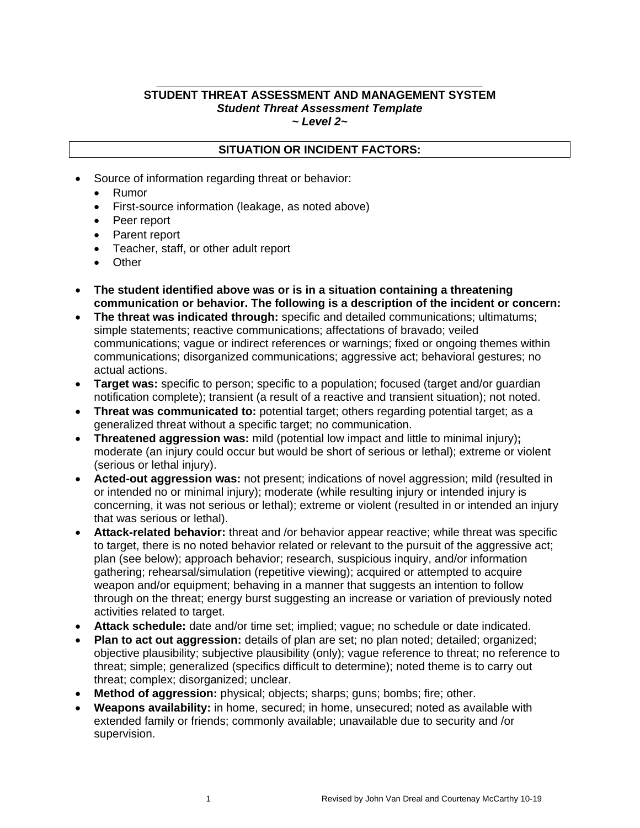#### **\_\_\_\_\_\_\_\_\_\_\_\_\_\_\_\_\_\_\_\_\_\_\_\_\_\_\_\_\_\_\_\_\_\_\_\_\_\_\_\_\_\_\_\_\_\_\_\_\_\_\_ STUDENT THREAT ASSESSMENT AND MANAGEMENT SYSTEM** *Student Threat Assessment Template ~ Level 2~*

#### **SITUATION OR INCIDENT FACTORS:**

- Source of information regarding threat or behavior:
	- Rumor
	- First-source information (leakage, as noted above)
	- Peer report
	- Parent report
	- Teacher, staff, or other adult report
	- Other
- **The student identified above was or is in a situation containing a threatening communication or behavior. The following is a description of the incident or concern:**
- **The threat was indicated through:** specific and detailed communications; ultimatums; simple statements; reactive communications; affectations of bravado; veiled communications; vague or indirect references or warnings; fixed or ongoing themes within communications; disorganized communications; aggressive act; behavioral gestures; no actual actions.
- **Target was:** specific to person; specific to a population; focused (target and/or guardian notification complete); transient (a result of a reactive and transient situation); not noted.
- **Threat was communicated to:** potential target; others regarding potential target; as a generalized threat without a specific target; no communication.
- **Threatened aggression was:** mild (potential low impact and little to minimal injury)**;** moderate (an injury could occur but would be short of serious or lethal); extreme or violent (serious or lethal injury).
- **Acted-out aggression was:** not present; indications of novel aggression; mild (resulted in or intended no or minimal injury); moderate (while resulting injury or intended injury is concerning, it was not serious or lethal); extreme or violent (resulted in or intended an injury that was serious or lethal).
- **Attack-related behavior:** threat and /or behavior appear reactive; while threat was specific to target, there is no noted behavior related or relevant to the pursuit of the aggressive act; plan (see below); approach behavior; research, suspicious inquiry, and/or information gathering; rehearsal/simulation (repetitive viewing); acquired or attempted to acquire weapon and/or equipment; behaving in a manner that suggests an intention to follow through on the threat; energy burst suggesting an increase or variation of previously noted activities related to target.
- **Attack schedule:** date and/or time set; implied; vague; no schedule or date indicated.
- **Plan to act out aggression:** details of plan are set; no plan noted; detailed; organized; objective plausibility; subjective plausibility (only); vague reference to threat; no reference to threat; simple; generalized (specifics difficult to determine); noted theme is to carry out threat; complex; disorganized; unclear.
- **Method of aggression:** physical; objects; sharps; guns; bombs; fire; other.
- **Weapons availability:** in home, secured; in home, unsecured; noted as available with extended family or friends; commonly available; unavailable due to security and /or supervision.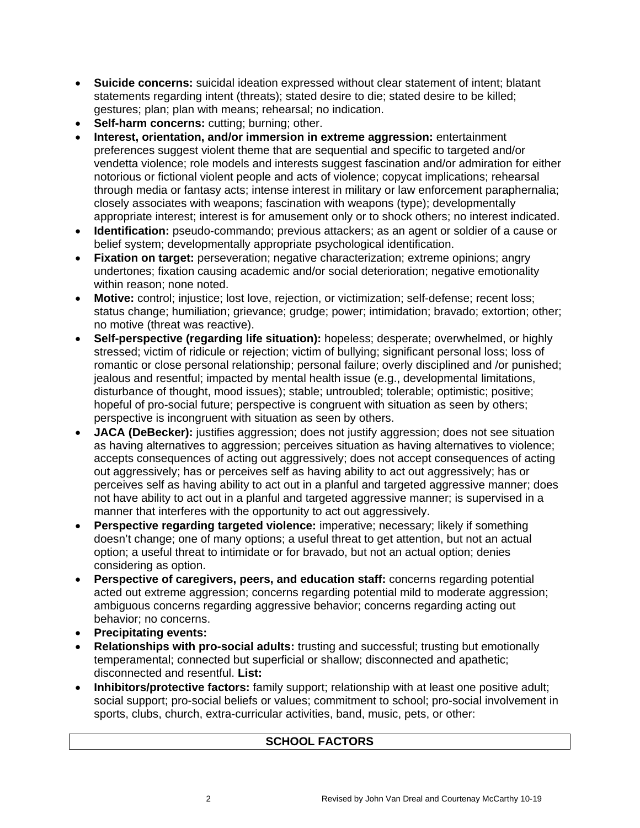- **Suicide concerns:** suicidal ideation expressed without clear statement of intent; blatant statements regarding intent (threats); stated desire to die; stated desire to be killed; gestures; plan; plan with means; rehearsal; no indication.
- **Self-harm concerns:** cutting; burning; other.
- **Interest, orientation, and/or immersion in extreme aggression:** entertainment preferences suggest violent theme that are sequential and specific to targeted and/or vendetta violence; role models and interests suggest fascination and/or admiration for either notorious or fictional violent people and acts of violence; copycat implications; rehearsal through media or fantasy acts; intense interest in military or law enforcement paraphernalia; closely associates with weapons; fascination with weapons (type); developmentally appropriate interest; interest is for amusement only or to shock others; no interest indicated.
- **Identification:** pseudo-commando; previous attackers; as an agent or soldier of a cause or belief system; developmentally appropriate psychological identification.
- **Fixation on target:** perseveration; negative characterization; extreme opinions; angry undertones; fixation causing academic and/or social deterioration; negative emotionality within reason; none noted.
- **Motive:** control; injustice; lost love, rejection, or victimization; self-defense; recent loss; status change; humiliation; grievance; grudge; power; intimidation; bravado; extortion; other; no motive (threat was reactive).
- **Self-perspective (regarding life situation):** hopeless; desperate; overwhelmed, or highly stressed; victim of ridicule or rejection; victim of bullying; significant personal loss; loss of romantic or close personal relationship; personal failure; overly disciplined and /or punished; jealous and resentful; impacted by mental health issue (e.g., developmental limitations, disturbance of thought, mood issues); stable; untroubled; tolerable; optimistic; positive; hopeful of pro-social future; perspective is congruent with situation as seen by others; perspective is incongruent with situation as seen by others.
- **JACA (DeBecker):** justifies aggression; does not justify aggression; does not see situation as having alternatives to aggression; perceives situation as having alternatives to violence; accepts consequences of acting out aggressively; does not accept consequences of acting out aggressively; has or perceives self as having ability to act out aggressively; has or perceives self as having ability to act out in a planful and targeted aggressive manner; does not have ability to act out in a planful and targeted aggressive manner; is supervised in a manner that interferes with the opportunity to act out aggressively.
- **Perspective regarding targeted violence:** imperative; necessary; likely if something doesn't change; one of many options; a useful threat to get attention, but not an actual option; a useful threat to intimidate or for bravado, but not an actual option; denies considering as option.
- **Perspective of caregivers, peers, and education staff:** concerns regarding potential acted out extreme aggression; concerns regarding potential mild to moderate aggression; ambiguous concerns regarding aggressive behavior; concerns regarding acting out behavior; no concerns.
- **Precipitating events:**
- **Relationships with pro-social adults:** trusting and successful; trusting but emotionally temperamental; connected but superficial or shallow; disconnected and apathetic; disconnected and resentful. **List:**
- **Inhibitors/protective factors:** family support; relationship with at least one positive adult; social support; pro-social beliefs or values; commitment to school; pro-social involvement in sports, clubs, church, extra-curricular activities, band, music, pets, or other:

## **SCHOOL FACTORS**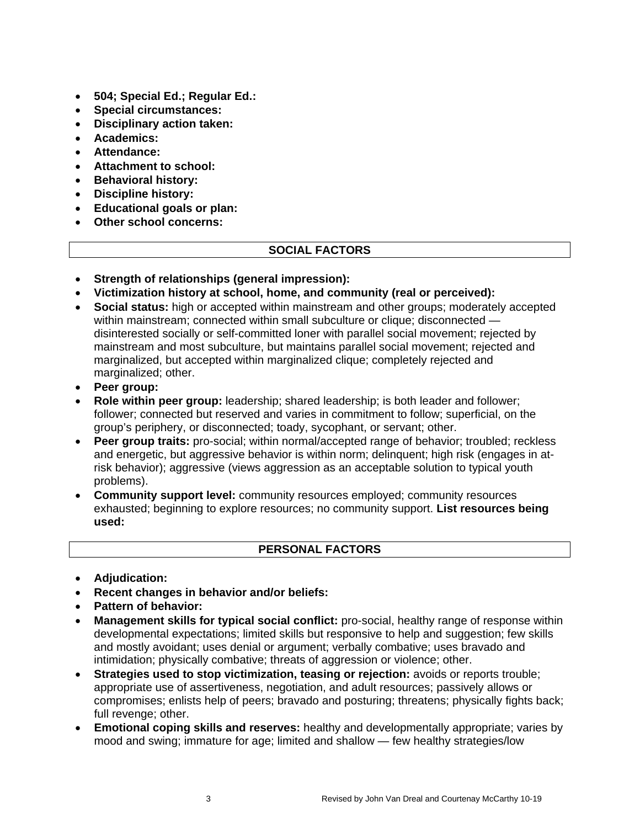- **504; Special Ed.; Regular Ed.:**
- **Special circumstances:**
- **Disciplinary action taken:**
- **Academics:**
- **Attendance:**
- **Attachment to school:**
- **Behavioral history:**
- **Discipline history:**
- **Educational goals or plan:**
- **Other school concerns:**

# **SOCIAL FACTORS**

- **Strength of relationships (general impression):**
- **Victimization history at school, home, and community (real or perceived):**
- **Social status:** high or accepted within mainstream and other groups; moderately accepted within mainstream; connected within small subculture or clique; disconnected disinterested socially or self-committed loner with parallel social movement; rejected by mainstream and most subculture, but maintains parallel social movement; rejected and marginalized, but accepted within marginalized clique; completely rejected and marginalized; other.
- **Peer group:**
- **Role within peer group:** leadership; shared leadership; is both leader and follower; follower; connected but reserved and varies in commitment to follow; superficial, on the group's periphery, or disconnected; toady, sycophant, or servant; other.
- **Peer group traits:** pro-social; within normal/accepted range of behavior; troubled; reckless and energetic, but aggressive behavior is within norm; delinquent; high risk (engages in atrisk behavior); aggressive (views aggression as an acceptable solution to typical youth problems).
- **Community support level:** community resources employed; community resources exhausted; beginning to explore resources; no community support. **List resources being used:**

# **PERSONAL FACTORS**

- **Adjudication:**
- **Recent changes in behavior and/or beliefs:**
- **Pattern of behavior:**
- **Management skills for typical social conflict:** pro-social, healthy range of response within developmental expectations; limited skills but responsive to help and suggestion; few skills and mostly avoidant; uses denial or argument; verbally combative; uses bravado and intimidation; physically combative; threats of aggression or violence; other.
- **Strategies used to stop victimization, teasing or rejection:** avoids or reports trouble; appropriate use of assertiveness, negotiation, and adult resources; passively allows or compromises; enlists help of peers; bravado and posturing; threatens; physically fights back; full revenge; other.
- **Emotional coping skills and reserves:** healthy and developmentally appropriate; varies by mood and swing; immature for age; limited and shallow — few healthy strategies/low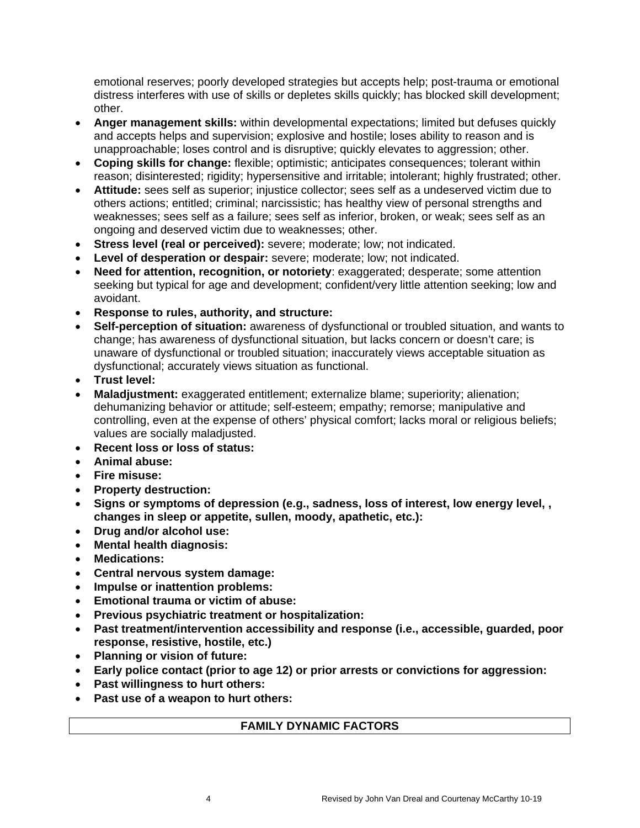emotional reserves; poorly developed strategies but accepts help; post-trauma or emotional distress interferes with use of skills or depletes skills quickly; has blocked skill development; other.

- **Anger management skills:** within developmental expectations; limited but defuses quickly and accepts helps and supervision; explosive and hostile; loses ability to reason and is unapproachable; loses control and is disruptive; quickly elevates to aggression; other.
- **Coping skills for change:** flexible; optimistic; anticipates consequences; tolerant within reason; disinterested; rigidity; hypersensitive and irritable; intolerant; highly frustrated; other.
- **Attitude:** sees self as superior; injustice collector; sees self as a undeserved victim due to others actions; entitled; criminal; narcissistic; has healthy view of personal strengths and weaknesses; sees self as a failure; sees self as inferior, broken, or weak; sees self as an ongoing and deserved victim due to weaknesses; other.
- **Stress level (real or perceived):** severe; moderate; low; not indicated.
- **Level of desperation or despair:** severe; moderate; low; not indicated.
- **Need for attention, recognition, or notoriety**: exaggerated; desperate; some attention seeking but typical for age and development; confident/very little attention seeking; low and avoidant.
- **Response to rules, authority, and structure:**
- **Self-perception of situation:** awareness of dysfunctional or troubled situation, and wants to change; has awareness of dysfunctional situation, but lacks concern or doesn't care; is unaware of dysfunctional or troubled situation; inaccurately views acceptable situation as dysfunctional; accurately views situation as functional.
- **Trust level:**
- **Maladjustment:** exaggerated entitlement; externalize blame; superiority; alienation; dehumanizing behavior or attitude; self-esteem; empathy; remorse; manipulative and controlling, even at the expense of others' physical comfort; lacks moral or religious beliefs; values are socially maladjusted.
- **Recent loss or loss of status:**
- **Animal abuse:**
- **Fire misuse:**
- **Property destruction:**
- **Signs or symptoms of depression (e.g., sadness, loss of interest, low energy level, , changes in sleep or appetite, sullen, moody, apathetic, etc.):**
- **Drug and/or alcohol use:**
- **Mental health diagnosis:**
- **Medications:**
- **Central nervous system damage:**
- **Impulse or inattention problems:**
- **Emotional trauma or victim of abuse:**
- **Previous psychiatric treatment or hospitalization:**
- **Past treatment/intervention accessibility and response (i.e., accessible, guarded, poor response, resistive, hostile, etc.)**
- **Planning or vision of future:**
- **Early police contact (prior to age 12) or prior arrests or convictions for aggression:**
- **Past willingness to hurt others:**
- **Past use of a weapon to hurt others:**

### **FAMILY DYNAMIC FACTORS**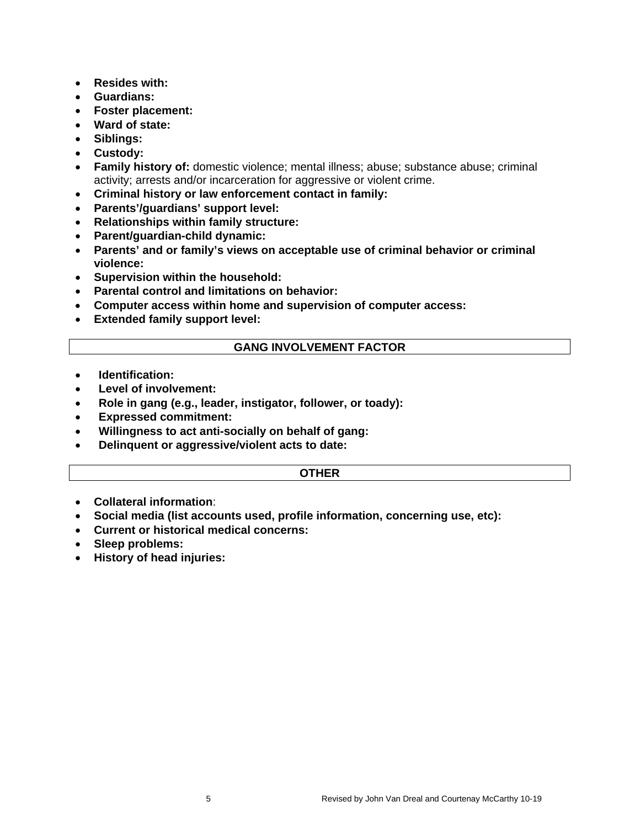- **Resides with:**
- **Guardians:**
- **Foster placement:**
- **Ward of state:**
- **Siblings:**
- **Custody:**
- **Family history of:** domestic violence; mental illness; abuse; substance abuse; criminal activity; arrests and/or incarceration for aggressive or violent crime.
- **Criminal history or law enforcement contact in family:**
- **Parents'/guardians' support level:**
- **Relationships within family structure:**
- **Parent/guardian-child dynamic:**
- **Parents' and or family's views on acceptable use of criminal behavior or criminal violence:**
- **Supervision within the household:**
- **Parental control and limitations on behavior:**
- **Computer access within home and supervision of computer access:**
- **Extended family support level:**

#### **GANG INVOLVEMENT FACTOR**

- **Identification:**
- **Level of involvement:**
- **Role in gang (e.g., leader, instigator, follower, or toady):**
- **Expressed commitment:**
- **Willingness to act anti-socially on behalf of gang:**
- **Delinquent or aggressive/violent acts to date:**

#### **OTHER**

- **Collateral information**:
- **Social media (list accounts used, profile information, concerning use, etc):**
- **Current or historical medical concerns:**
- **Sleep problems:**
- **History of head injuries:**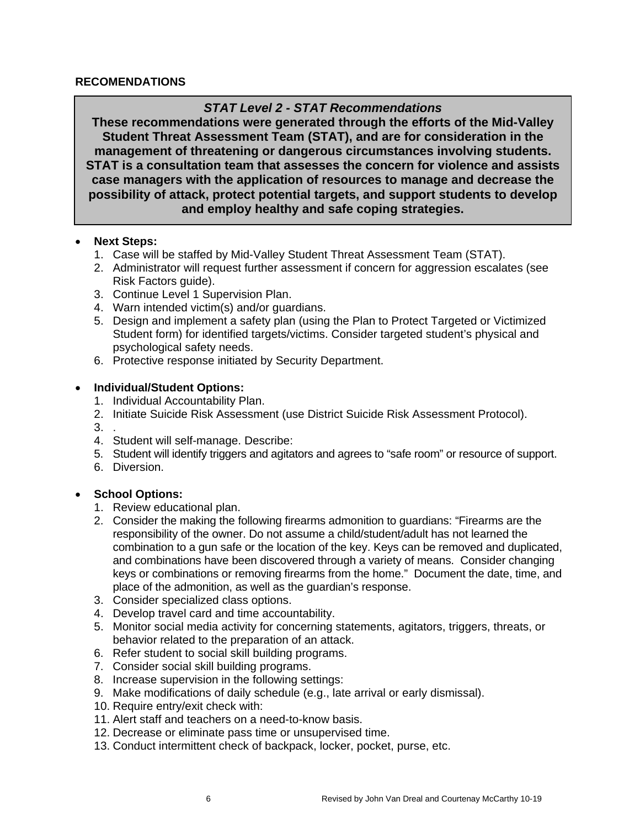### **RECOMENDATIONS**

# *STAT Level 2 - STAT Recommendations*

**These recommendations were generated through the efforts of the Mid-Valley Student Threat Assessment Team (STAT), and are for consideration in the management of threatening or dangerous circumstances involving students. STAT is a consultation team that assesses the concern for violence and assists case managers with the application of resources to manage and decrease the possibility of attack, protect potential targets, and support students to develop and employ healthy and safe coping strategies.**

### • **Next Steps:**

- 1. Case will be staffed by Mid-Valley Student Threat Assessment Team (STAT).
- 2. Administrator will request further assessment if concern for aggression escalates (see Risk Factors guide).
- 3. Continue Level 1 Supervision Plan.
- 4. Warn intended victim(s) and/or guardians.
- 5. Design and implement a safety plan (using the Plan to Protect Targeted or Victimized Student form) for identified targets/victims. Consider targeted student's physical and psychological safety needs.
- 6. Protective response initiated by Security Department.

## • **Individual/Student Options:**

- 1. Individual Accountability Plan.
- 2. Initiate Suicide Risk Assessment (use District Suicide Risk Assessment Protocol).
- 3. .
- 4. Student will self-manage. Describe:
- 5. Student will identify triggers and agitators and agrees to "safe room" or resource of support.
- 6. Diversion.

# • **School Options:**

- 1. Review educational plan.
- 2. Consider the making the following firearms admonition to guardians: "Firearms are the responsibility of the owner. Do not assume a child/student/adult has not learned the combination to a gun safe or the location of the key. Keys can be removed and duplicated, and combinations have been discovered through a variety of means. Consider changing keys or combinations or removing firearms from the home." Document the date, time, and place of the admonition, as well as the guardian's response.
- 3. Consider specialized class options.
- 4. Develop travel card and time accountability.
- 5. Monitor social media activity for concerning statements, agitators, triggers, threats, or behavior related to the preparation of an attack.
- 6. Refer student to social skill building programs.
- 7. Consider social skill building programs.
- 8. Increase supervision in the following settings:
- 9. Make modifications of daily schedule (e.g., late arrival or early dismissal).
- 10. Require entry/exit check with:
- 11. Alert staff and teachers on a need-to-know basis.
- 12. Decrease or eliminate pass time or unsupervised time.
- 13. Conduct intermittent check of backpack, locker, pocket, purse, etc.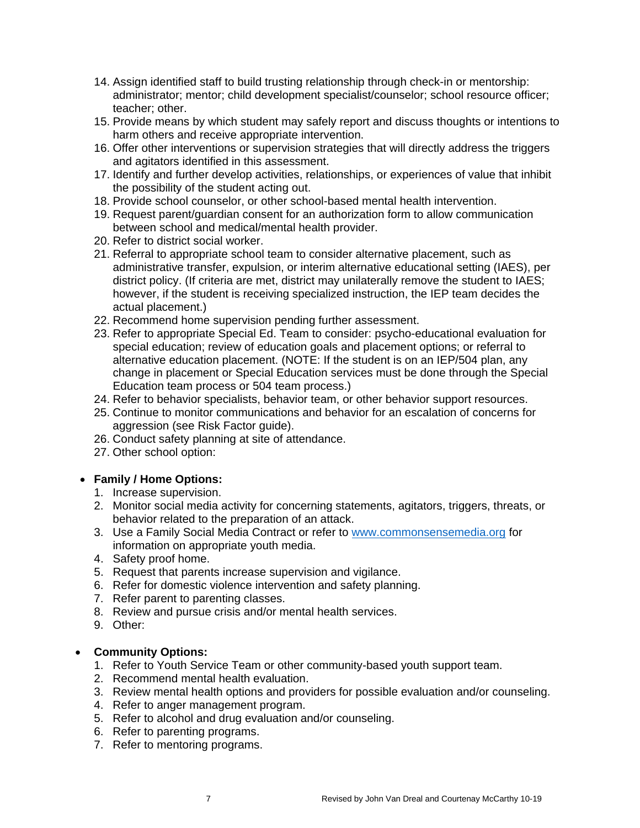- 14. Assign identified staff to build trusting relationship through check-in or mentorship: administrator; mentor; child development specialist/counselor; school resource officer; teacher; other.
- 15. Provide means by which student may safely report and discuss thoughts or intentions to harm others and receive appropriate intervention.
- 16. Offer other interventions or supervision strategies that will directly address the triggers and agitators identified in this assessment.
- 17. Identify and further develop activities, relationships, or experiences of value that inhibit the possibility of the student acting out.
- 18. Provide school counselor, or other school-based mental health intervention.
- 19. Request parent/guardian consent for an authorization form to allow communication between school and medical/mental health provider.
- 20. Refer to district social worker.
- 21. Referral to appropriate school team to consider alternative placement, such as administrative transfer, expulsion, or interim alternative educational setting (IAES), per district policy. (If criteria are met, district may unilaterally remove the student to IAES; however, if the student is receiving specialized instruction, the IEP team decides the actual placement.)
- 22. Recommend home supervision pending further assessment.
- 23. Refer to appropriate Special Ed. Team to consider: psycho-educational evaluation for special education; review of education goals and placement options; or referral to alternative education placement. (NOTE: If the student is on an IEP/504 plan, any change in placement or Special Education services must be done through the Special Education team process or 504 team process.)
- 24. Refer to behavior specialists, behavior team, or other behavior support resources.
- 25. Continue to monitor communications and behavior for an escalation of concerns for aggression (see Risk Factor guide).
- 26. Conduct safety planning at site of attendance.
- 27. Other school option:

### • **Family / Home Options:**

- 1. Increase supervision.
- 2. Monitor social media activity for concerning statements, agitators, triggers, threats, or behavior related to the preparation of an attack.
- 3. Use a Family Social Media Contract or refer to [www.commonsensemedia.org](http://www.commonsensemedia.org/) for information on appropriate youth media.
- 4. Safety proof home.
- 5. Request that parents increase supervision and vigilance.
- 6. Refer for domestic violence intervention and safety planning.
- 7. Refer parent to parenting classes.
- 8. Review and pursue crisis and/or mental health services.
- 9. Other:

### • **Community Options:**

- 1. Refer to Youth Service Team or other community-based youth support team.
- 2. Recommend mental health evaluation.
- 3. Review mental health options and providers for possible evaluation and/or counseling.
- 4. Refer to anger management program.
- 5. Refer to alcohol and drug evaluation and/or counseling.
- 6. Refer to parenting programs.
- 7. Refer to mentoring programs.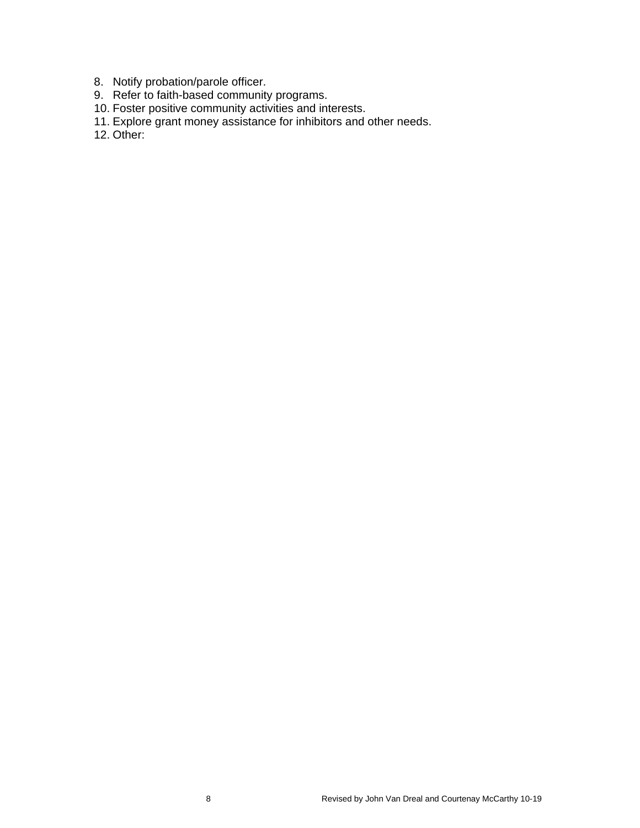- 8. Notify probation/parole officer.
- 9. Refer to faith-based community programs.
- 10. Foster positive community activities and interests.
- 11. Explore grant money assistance for inhibitors and other needs.
- 12. Other: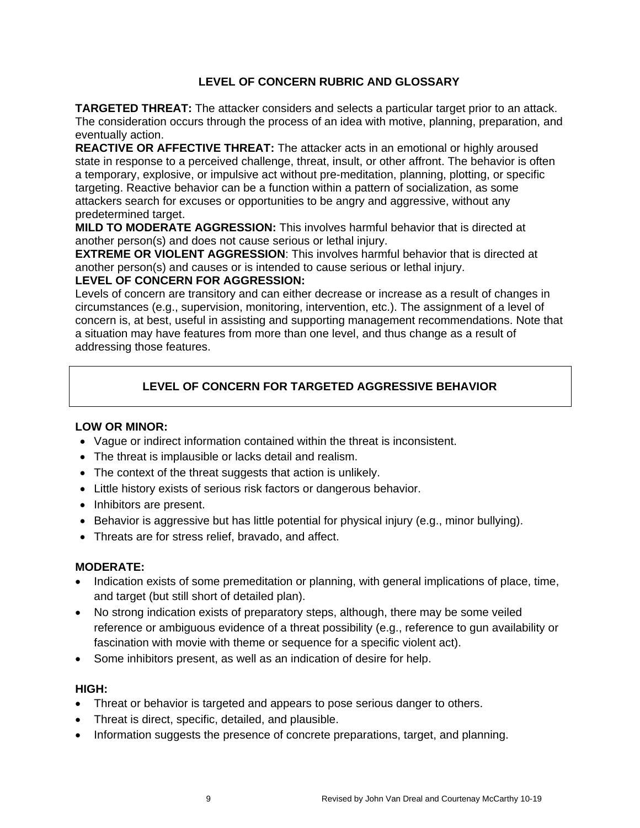## **LEVEL OF CONCERN RUBRIC AND GLOSSARY**

**TARGETED THREAT:** The attacker considers and selects a particular target prior to an attack. The consideration occurs through the process of an idea with motive, planning, preparation, and eventually action.

**REACTIVE OR AFFECTIVE THREAT:** The attacker acts in an emotional or highly aroused state in response to a perceived challenge, threat, insult, or other affront. The behavior is often a temporary, explosive, or impulsive act without pre-meditation, planning, plotting, or specific targeting. Reactive behavior can be a function within a pattern of socialization, as some attackers search for excuses or opportunities to be angry and aggressive, without any predetermined target.

**MILD TO MODERATE AGGRESSION:** This involves harmful behavior that is directed at another person(s) and does not cause serious or lethal injury.

**EXTREME OR VIOLENT AGGRESSION**: This involves harmful behavior that is directed at another person(s) and causes or is intended to cause serious or lethal injury.

### **LEVEL OF CONCERN FOR AGGRESSION:**

Levels of concern are transitory and can either decrease or increase as a result of changes in circumstances (e.g., supervision, monitoring, intervention, etc.). The assignment of a level of concern is, at best, useful in assisting and supporting management recommendations. Note that a situation may have features from more than one level, and thus change as a result of addressing those features.

# **LEVEL OF CONCERN FOR TARGETED AGGRESSIVE BEHAVIOR**

### **LOW OR MINOR:**

- Vague or indirect information contained within the threat is inconsistent.
- The threat is implausible or lacks detail and realism.
- The context of the threat suggests that action is unlikely.
- Little history exists of serious risk factors or dangerous behavior.
- Inhibitors are present.
- Behavior is aggressive but has little potential for physical injury (e.g., minor bullying).
- Threats are for stress relief, bravado, and affect.

#### **MODERATE:**

- Indication exists of some premeditation or planning, with general implications of place, time, and target (but still short of detailed plan).
- No strong indication exists of preparatory steps, although, there may be some veiled reference or ambiguous evidence of a threat possibility (e.g., reference to gun availability or fascination with movie with theme or sequence for a specific violent act).
- Some inhibitors present, as well as an indication of desire for help.

#### **HIGH:**

- Threat or behavior is targeted and appears to pose serious danger to others.
- Threat is direct, specific, detailed, and plausible.
- Information suggests the presence of concrete preparations, target, and planning.